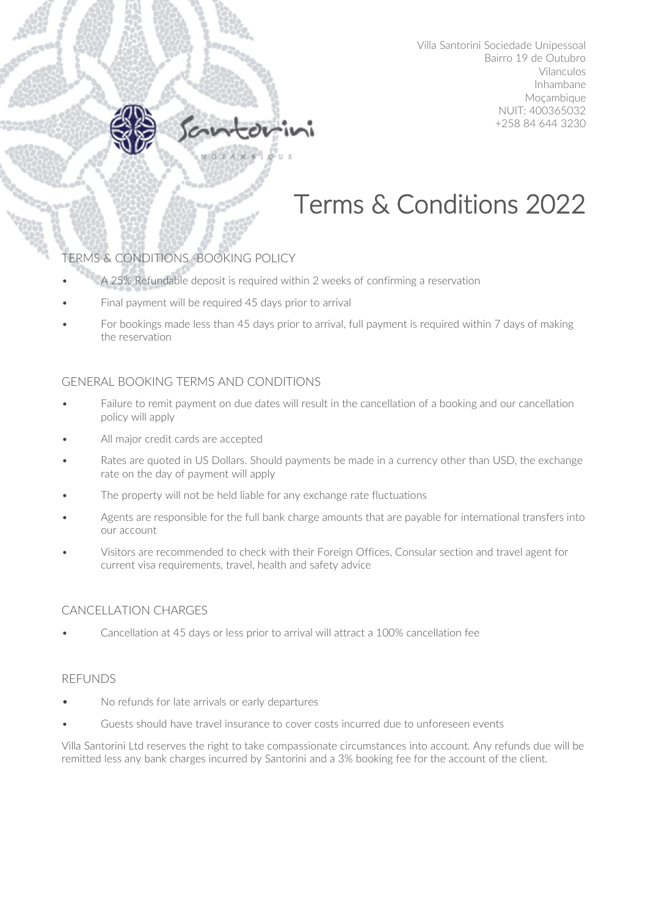# Terms & Conditions 2022

# TERMS & CONDITIONS -BOOKING POLICY

- A 25% Refundable deposit is required within 2 weeks of confirming a reservation
- Final payment will be required 45 days prior to arrival
- For bookings made less than 45 days prior to arrival, full payment is required within 7 days of making the reservation

## GENERAL BOOKING TERMS AND CONDITIONS

- Failure to remit payment on due dates will result in the cancellation of a booking and our cancellation policy will apply
- All major credit cards are accepted
- Rates are quoted in US Dollars. Should payments be made in a currency other than USD, the exchange rate on the day of payment will apply
- The property will not be held liable for any exchange rate fluctuations
- Agents are responsible for the full bank charge amounts that are payable for international transfers into our account
- Visitors are recommended to check with their Foreign Offices, Consular section and travel agent for current visa requirements, travel, health and safety advice

#### CANCELLATION CHARGES

• Cancellation at 45 days or less prior to arrival will attract a 100% cancellation fee

#### REFUNDS

Y

- No refunds for late arrivals or early departures
- Guests should have travel insurance to cover costs incurred due to unforeseen events

Villa Santorini Ltd reserves the right to take compassionate circumstances into account. Any refunds due will be remitted less any bank charges incurred by Santorini and a 3% booking fee for the account of the client.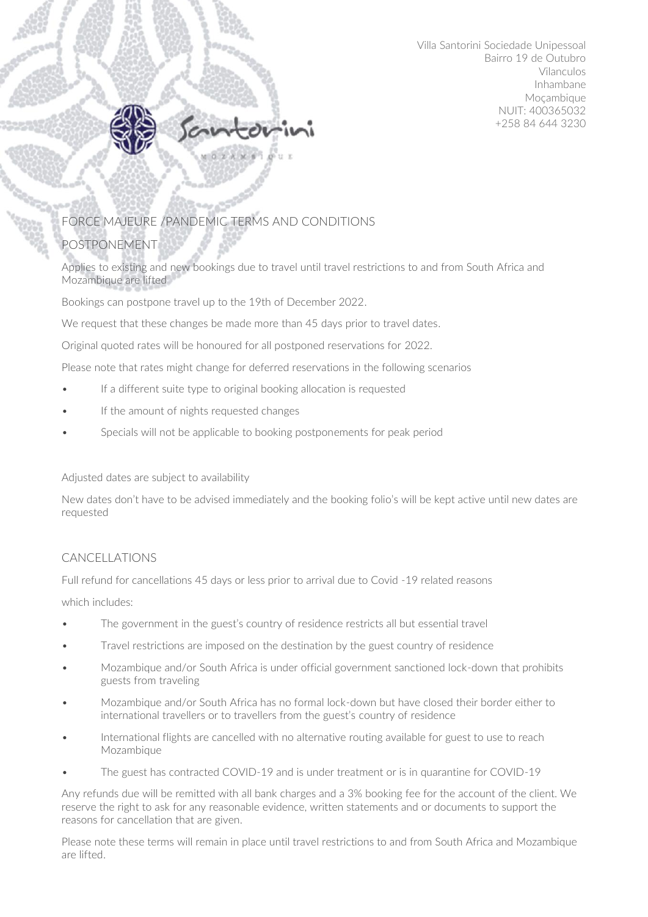

# FORCE MAJEURE /PANDEMIC TERMS AND CONDITIONS

## POSTPONEMENT

Applies to existing and new bookings due to travel until travel restrictions to and from South Africa and Mozambique are lifted

Bookings can postpone travel up to the 19th of December 2022.

We request that these changes be made more than 45 days prior to travel dates.

Original quoted rates will be honoured for all postponed reservations for 2022.

Please note that rates might change for deferred reservations in the following scenarios

- If a different suite type to original booking allocation is requested
- If the amount of nights requested changes
- Specials will not be applicable to booking postponements for peak period

Adjusted dates are subject to availability

New dates don't have to be advised immediately and the booking folio's will be kept active until new dates are requested

## CANCELLATIONS

Full refund for cancellations 45 days or less prior to arrival due to Covid -19 related reasons

which includes:

- The government in the guest's country of residence restricts all but essential travel
- Travel restrictions are imposed on the destination by the guest country of residence
- Mozambique and/or South Africa is under official government sanctioned lock-down that prohibits guests from traveling
- Mozambique and/or South Africa has no formal lock-down but have closed their border either to international travellers or to travellers from the guest's country of residence
- International flights are cancelled with no alternative routing available for guest to use to reach Mozambique
- The guest has contracted COVID-19 and is under treatment or is in quarantine for COVID-19

Any refunds due will be remitted with all bank charges and a 3% booking fee for the account of the client. We reserve the right to ask for any reasonable evidence, written statements and or documents to support the reasons for cancellation that are given.

Please note these terms will remain in place until travel restrictions to and from South Africa and Mozambique are lifted.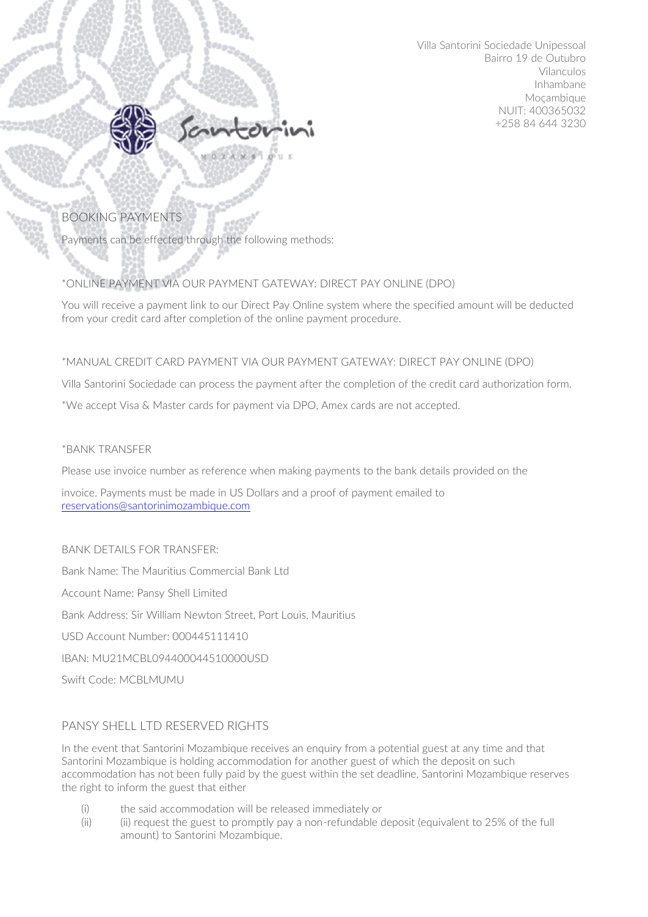

## BOOKING PAYMENTS

Payments can be effected through the following methods:

### \*ONLINE PAYMENT VIA OUR PAYMENT GATEWAY: DIRECT PAY ONLINE (DPO)

You will receive a payment link to our Direct Pay Online system where the specified amount will be deducted from your credit card after completion of the online payment procedure.

#### \*MANUAL CREDIT CARD PAYMENT VIA OUR PAYMENT GATEWAY: DIRECT PAY ONLINE (DPO)

Villa Santorini Sociedade can process the payment after the completion of the credit card authorization form.

\*We accept Visa & Master cards for payment via DPO, Amex cards are not accepted.

#### \*BANK TRANSFER

Please use invoice number as reference when making payments to the bank details provided on the

invoice. Payments must be made in US Dollars and a proof of payment emailed to [reservations@santorinimozambique.com](mailto:reservations@santorinimozambique.com)

#### BANK DETAILS FOR TRANSFER:

Bank Name: The Mauritius Commercial Bank Ltd

Account Name: Pansy Shell Limited

Bank Address: Sir William Newton Street, Port Louis, Mauritius

USD Account Number: 000445111410

IBAN: MU21MCBL094400044510000USD

Swift Code: MCBLMUMU

#### PANSY SHELL LTD RESERVED RIGHTS

In the event that Santorini Mozambique receives an enquiry from a potential guest at any time and that Santorini Mozambique is holding accommodation for another guest of which the deposit on such accommodation has not been fully paid by the guest within the set deadline, Santorini Mozambique reserves the right to inform the guest that either

- (i) the said accommodation will be released immediately or
- (ii) (ii) request the guest to promptly pay a non-refundable deposit (equivalent to 25% of the full amount) to Santorini Mozambique.